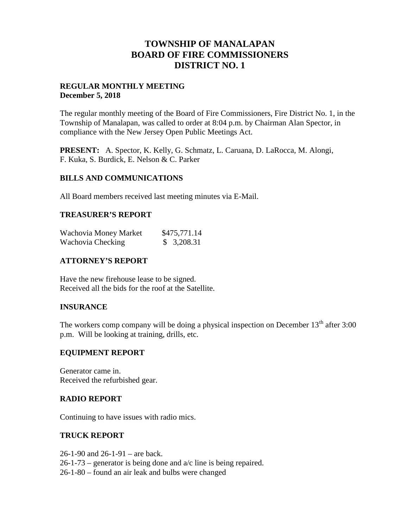## **TOWNSHIP OF MANALAPAN BOARD OF FIRE COMMISSIONERS DISTRICT NO. 1**

### **REGULAR MONTHLY MEETING December 5, 2018**

The regular monthly meeting of the Board of Fire Commissioners, Fire District No. 1, in the Township of Manalapan, was called to order at 8:04 p.m. by Chairman Alan Spector, in compliance with the New Jersey Open Public Meetings Act.

**PRESENT:** A. Spector, K. Kelly, G. Schmatz, L. Caruana, D. LaRocca, M. Alongi, F. Kuka, S. Burdick, E. Nelson & C. Parker

#### **BILLS AND COMMUNICATIONS**

All Board members received last meeting minutes via E-Mail.

#### **TREASURER'S REPORT**

| Wachovia Money Market | \$475,771.14 |
|-----------------------|--------------|
| Wachovia Checking     | \$3,208.31   |

### **ATTORNEY'S REPORT**

Have the new firehouse lease to be signed. Received all the bids for the roof at the Satellite.

#### **INSURANCE**

The workers comp company will be doing a physical inspection on December  $13<sup>th</sup>$  after 3:00 p.m. Will be looking at training, drills, etc.

#### **EQUIPMENT REPORT**

Generator came in. Received the refurbished gear.

#### **RADIO REPORT**

Continuing to have issues with radio mics.

#### **TRUCK REPORT**

26-1-90 and 26-1-91 – are back.  $26-1-73$  – generator is being done and  $a/c$  line is being repaired. 26-1-80 – found an air leak and bulbs were changed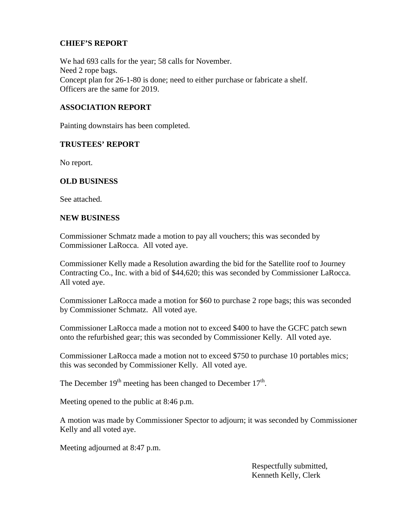### **CHIEF'S REPORT**

We had 693 calls for the year; 58 calls for November. Need 2 rope bags. Concept plan for 26-1-80 is done; need to either purchase or fabricate a shelf. Officers are the same for 2019.

### **ASSOCIATION REPORT**

Painting downstairs has been completed.

#### **TRUSTEES' REPORT**

No report.

#### **OLD BUSINESS**

See attached.

#### **NEW BUSINESS**

Commissioner Schmatz made a motion to pay all vouchers; this was seconded by Commissioner LaRocca. All voted aye.

Commissioner Kelly made a Resolution awarding the bid for the Satellite roof to Journey Contracting Co., Inc. with a bid of \$44,620; this was seconded by Commissioner LaRocca. All voted aye.

Commissioner LaRocca made a motion for \$60 to purchase 2 rope bags; this was seconded by Commissioner Schmatz. All voted aye.

Commissioner LaRocca made a motion not to exceed \$400 to have the GCFC patch sewn onto the refurbished gear; this was seconded by Commissioner Kelly. All voted aye.

Commissioner LaRocca made a motion not to exceed \$750 to purchase 10 portables mics; this was seconded by Commissioner Kelly. All voted aye.

The December  $19<sup>th</sup>$  meeting has been changed to December  $17<sup>th</sup>$ .

Meeting opened to the public at 8:46 p.m.

A motion was made by Commissioner Spector to adjourn; it was seconded by Commissioner Kelly and all voted aye.

Meeting adjourned at 8:47 p.m.

Respectfully submitted, Kenneth Kelly, Clerk